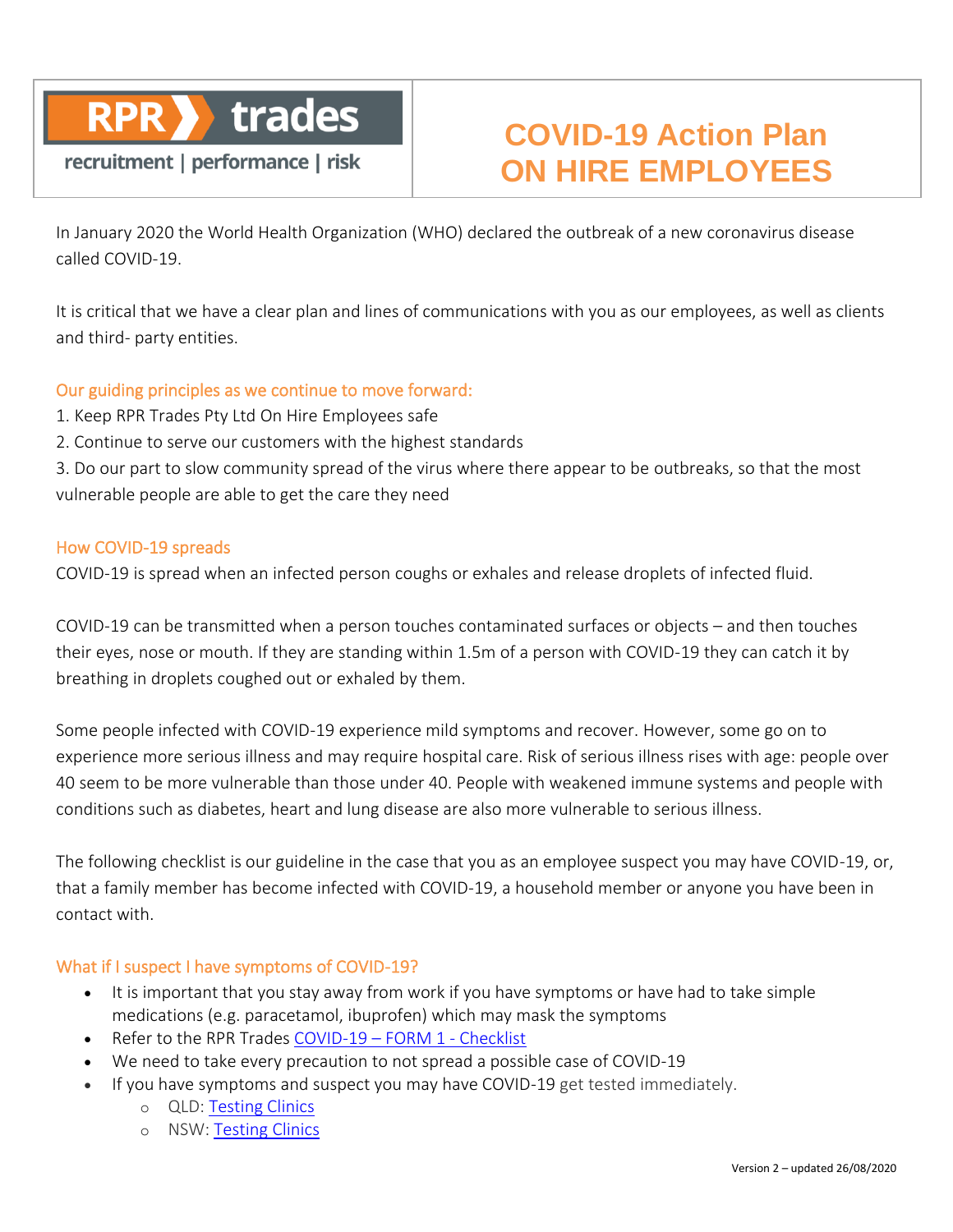

# recruitment | performance | risk

# **COVID-19 Action Plan ON HIRE EMPLOYEES**

In January 2020 the World Health Organization (WHO) declared the outbreak of a new coronavirus disease called COVID-19.

It is critical that we have a clear plan and lines of communications with you as our employees, as well as clients and third- party entities.

#### Our guiding principles as we continue to move forward:

- 1. Keep RPR Trades Pty Ltd On Hire Employees safe
- 2. Continue to serve our customers with the highest standards

3. Do our part to slow community spread of the virus where there appear to be outbreaks, so that the most vulnerable people are able to get the care they need

#### How COVID-19 spreads

COVID-19 is spread when an infected person coughs or exhales and release droplets of infected fluid.

COVID-19 can be transmitted when a person touches contaminated surfaces or objects – and then touches their eyes, nose or mouth. If they are standing within 1.5m of a person with COVID-19 they can catch it by breathing in droplets coughed out or exhaled by them.

Some people infected with COVID-19 experience mild symptoms and recover. However, some go on to experience more serious illness and may require hospital care. Risk of serious illness rises with age: people over 40 seem to be more vulnerable than those under 40. People with weakened immune systems and people with conditions such as diabetes, heart and lung disease are also more vulnerable to serious illness.

The following checklist is our guideline in the case that you as an employee suspect you may have COVID-19, or, that a family member has become infected with COVID-19, a household member or anyone you have been in contact with.

### What if I suspect I have symptoms of COVID-19?

- It is important that you stay away from work if you have symptoms or have had to take simple medications (e.g. paracetamol, ibuprofen) which may mask the symptoms
- Refer to the RPR Trades [COVID-19](https://rprtradespl.sharepoint.com/:w:/s/RPRTrades/EbcxY9uN9RFNswOQbapKbc0BmgeHsGiV4V-9ZwF6aleraw?e=kaNiwn) FORM 1 Checklist
- We need to take every precaution to not spread a possible case of COVID-19
- If you have symptoms and suspect you may have COVID-19 get tested immediately.
	- o QLD: [Testing Clinics](https://www.qld.gov.au/health/conditions/health-alerts/coronavirus-covid-19/stay-informed/testing-and-fever-clinics)
	- o NSW: [Testing Clinics](https://www.nsw.gov.au/covid-19/how-to-protect-yourself-and-others/clinics#find-a-covid-19-testing-centre-in-nsw)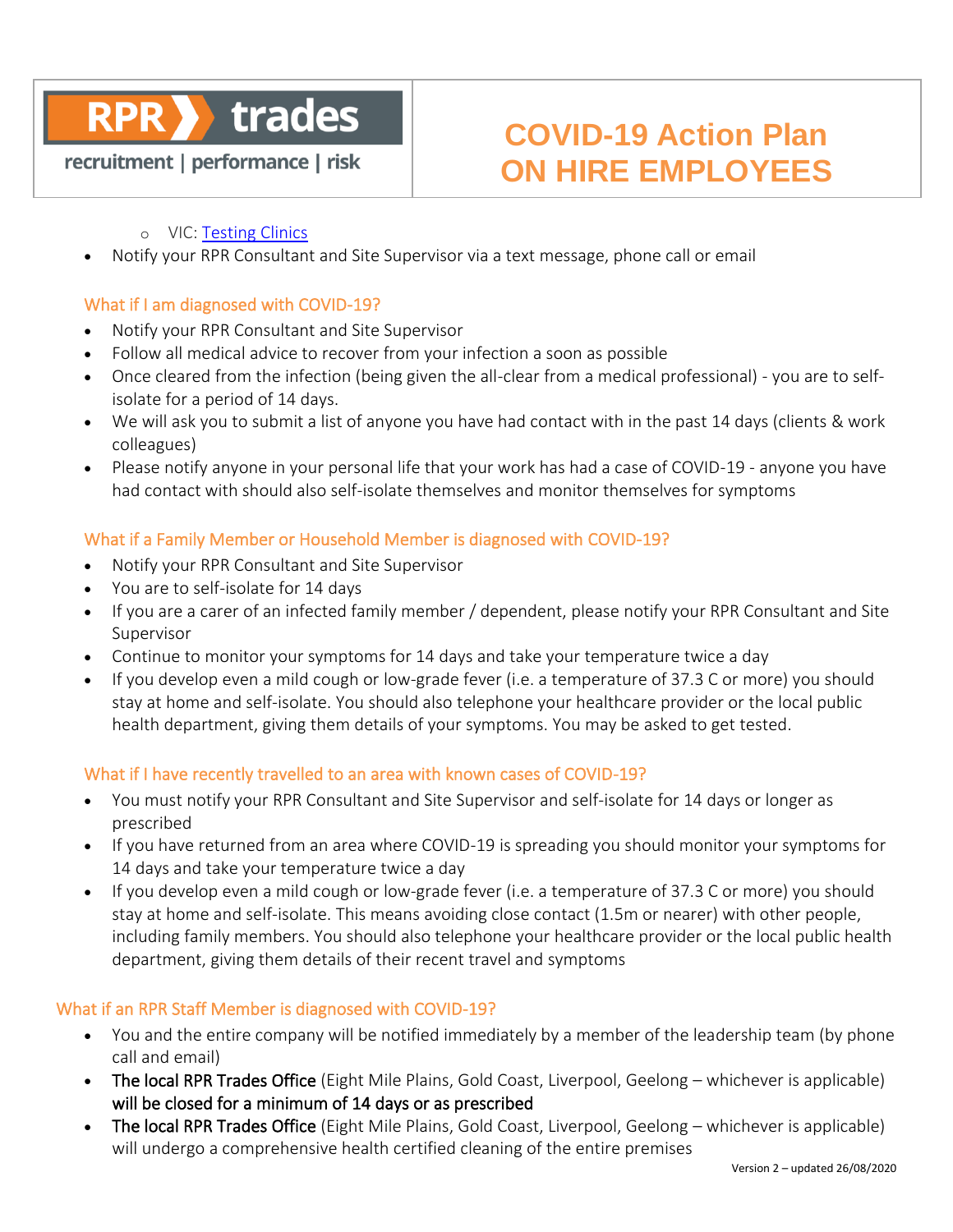## trades **RPR**

# recruitment | performance | risk

# **COVID-19 Action Plan ON HIRE EMPLOYEES**

#### o VIC: [Testing Clinics](https://www.dhhs.vic.gov.au/where-get-tested-covid-19)

• Notify your RPR Consultant and Site Supervisor via a text message, phone call or email

#### What if I am diagnosed with COVID-19?

- Notify your RPR Consultant and Site Supervisor
- Follow all medical advice to recover from your infection a soon as possible
- Once cleared from the infection (being given the all-clear from a medical professional) you are to selfisolate for a period of 14 days.
- We will ask you to submit a list of anyone you have had contact with in the past 14 days (clients & work colleagues)
- Please notify anyone in your personal life that your work has had a case of COVID-19 anyone you have had contact with should also self-isolate themselves and monitor themselves for symptoms

#### What if a Family Member or Household Member is diagnosed with COVID-19?

- Notify your RPR Consultant and Site Supervisor
- You are to self-isolate for 14 days
- If you are a carer of an infected family member / dependent, please notify your RPR Consultant and Site Supervisor
- Continue to monitor your symptoms for 14 days and take your temperature twice a day
- If you develop even a mild cough or low-grade fever (i.e. a temperature of 37.3 C or more) you should stay at home and self-isolate. You should also telephone your healthcare provider or the local public health department, giving them details of your symptoms. You may be asked to get tested.

#### What if I have recently travelled to an area with known cases of COVID-19?

- You must notify your RPR Consultant and Site Supervisor and self-isolate for 14 days or longer as prescribed
- If you have returned from an area where COVID-19 is spreading you should monitor your symptoms for 14 days and take your temperature twice a day
- If you develop even a mild cough or low-grade fever (i.e. a temperature of 37.3 C or more) you should stay at home and self-isolate. This means avoiding close contact (1.5m or nearer) with other people, including family members. You should also telephone your healthcare provider or the local public health department, giving them details of their recent travel and symptoms

#### What if an RPR Staff Member is diagnosed with COVID-19?

- You and the entire company will be notified immediately by a member of the leadership team (by phone call and email)
- The local RPR Trades Office (Eight Mile Plains, Gold Coast, Liverpool, Geelong whichever is applicable) will be closed for a minimum of 14 days or as prescribed
- The local RPR Trades Office (Eight Mile Plains, Gold Coast, Liverpool, Geelong whichever is applicable) will undergo a comprehensive health certified cleaning of the entire premises